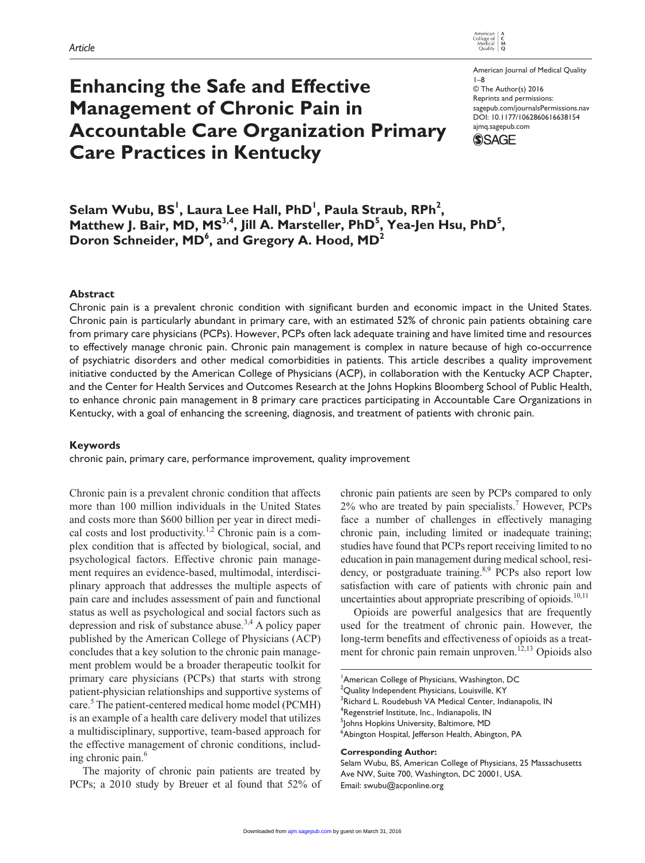# **Enhancing the Safe and Effective Management of Chronic Pain in Accountable Care Organization Primary Care Practices in Kentucky**

American Journal of Medical Quality 1–8 © The Author(s) 2016 Reprints and permissions: sagepub.com/journalsPermissions.nav DOI: 10.1177/1062860616638154 ajmq.sagepub.com



 $\mathsf{Selam}\ \mathsf{Wubu}, \mathsf{BS}^{\mathsf{I}}, \mathsf{Laura}\ \mathsf{Lee}\ \mathsf{Hall}, \mathsf{PhD}^{\mathsf{I}}, \mathsf{Paula}\ \mathsf{Straub}, \mathsf{RPh}^2,$ Matthew J. Bair, MD, MS<sup>3,4</sup>, Jill A. Marsteller, PhD<sup>5</sup>, Yea-Jen Hsu, PhD<sup>5</sup>, Doron Schneider, MD<sup>6</sup>, and Gregory A. Hood, MD<sup>2</sup>

#### **Abstract**

Chronic pain is a prevalent chronic condition with significant burden and economic impact in the United States. Chronic pain is particularly abundant in primary care, with an estimated 52% of chronic pain patients obtaining care from primary care physicians (PCPs). However, PCPs often lack adequate training and have limited time and resources to effectively manage chronic pain. Chronic pain management is complex in nature because of high co-occurrence of psychiatric disorders and other medical comorbidities in patients. This article describes a quality improvement initiative conducted by the American College of Physicians (ACP), in collaboration with the Kentucky ACP Chapter, and the Center for Health Services and Outcomes Research at the Johns Hopkins Bloomberg School of Public Health, to enhance chronic pain management in 8 primary care practices participating in Accountable Care Organizations in Kentucky, with a goal of enhancing the screening, diagnosis, and treatment of patients with chronic pain.

#### **Keywords**

chronic pain, primary care, performance improvement, quality improvement

Chronic pain is a prevalent chronic condition that affects more than 100 million individuals in the United States and costs more than \$600 billion per year in direct medical costs and lost productivity.<sup>1,2</sup> Chronic pain is a complex condition that is affected by biological, social, and psychological factors. Effective chronic pain management requires an evidence-based, multimodal, interdisciplinary approach that addresses the multiple aspects of pain care and includes assessment of pain and functional status as well as psychological and social factors such as depression and risk of substance abuse.<sup>3,4</sup> A policy paper published by the American College of Physicians (ACP) concludes that a key solution to the chronic pain management problem would be a broader therapeutic toolkit for primary care physicians (PCPs) that starts with strong patient-physician relationships and supportive systems of care.<sup>5</sup> The patient-centered medical home model (PCMH) is an example of a health care delivery model that utilizes a multidisciplinary, supportive, team-based approach for the effective management of chronic conditions, including chronic pain.<sup>6</sup>

The majority of chronic pain patients are treated by PCPs; a 2010 study by Breuer et al found that 52% of chronic pain patients are seen by PCPs compared to only 2% who are treated by pain specialists.7 However, PCPs face a number of challenges in effectively managing chronic pain, including limited or inadequate training; studies have found that PCPs report receiving limited to no education in pain management during medical school, residency, or postgraduate training. $8.9$  PCPs also report low satisfaction with care of patients with chronic pain and uncertainties about appropriate prescribing of opioids. $10,11$ 

Opioids are powerful analgesics that are frequently used for the treatment of chronic pain. However, the long-term benefits and effectiveness of opioids as a treatment for chronic pain remain unproven.<sup>12,13</sup> Opioids also

<sup>1</sup> American College of Physicians, Washington, DC  $^{\rm 2}$ Quality Independent Physicians, Louisville, KY <sup>3</sup>Richard L. Roudebush VA Medical Center, Indianapolis, IN 4 Regenstrief Institute, Inc., Indianapolis, IN 5 Johns Hopkins University, Baltimore, MD 6 Abington Hospital, Jefferson Health, Abington, PA

#### **Corresponding Author:**

Selam Wubu, BS, American College of Physicians, 25 Massachusetts Ave NW, Suite 700, Washington, DC 20001, USA. Email: [swubu@acponline.org](mailto:swubu@acponline.org)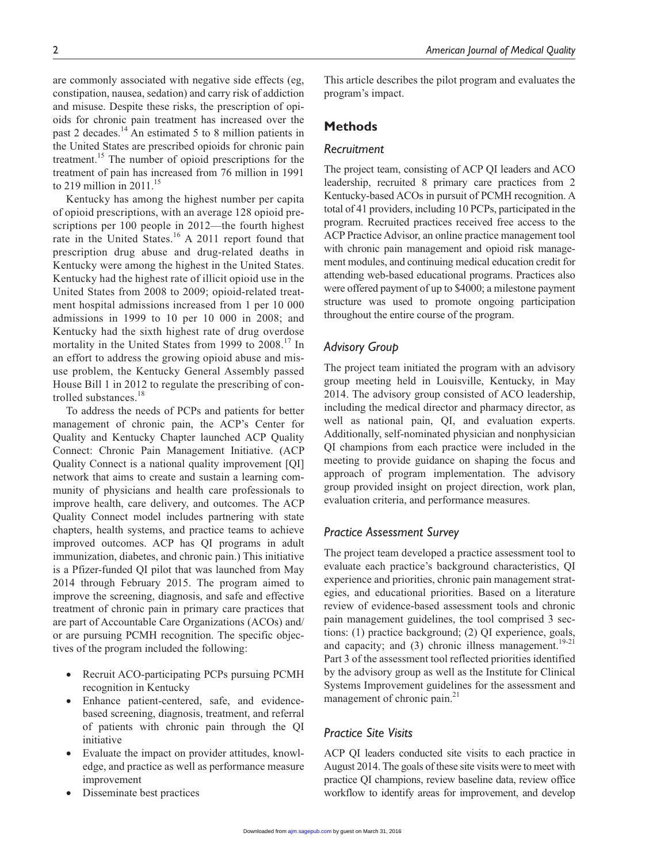are commonly associated with negative side effects (eg, constipation, nausea, sedation) and carry risk of addiction and misuse. Despite these risks, the prescription of opioids for chronic pain treatment has increased over the past 2 decades.<sup>14</sup> An estimated 5 to 8 million patients in the United States are prescribed opioids for chronic pain treatment.<sup>15</sup> The number of opioid prescriptions for the treatment of pain has increased from 76 million in 1991 to 219 million in 2011.<sup>15</sup>

Kentucky has among the highest number per capita of opioid prescriptions, with an average 128 opioid prescriptions per 100 people in 2012—the fourth highest rate in the United States.<sup>16</sup> A 2011 report found that prescription drug abuse and drug-related deaths in Kentucky were among the highest in the United States. Kentucky had the highest rate of illicit opioid use in the United States from 2008 to 2009; opioid-related treatment hospital admissions increased from 1 per 10 000 admissions in 1999 to 10 per 10 000 in 2008; and Kentucky had the sixth highest rate of drug overdose mortality in the United States from 1999 to 2008.<sup>17</sup> In an effort to address the growing opioid abuse and misuse problem, the Kentucky General Assembly passed House Bill 1 in 2012 to regulate the prescribing of controlled substances.<sup>18</sup>

To address the needs of PCPs and patients for better management of chronic pain, the ACP's Center for Quality and Kentucky Chapter launched ACP Quality Connect: Chronic Pain Management Initiative. (ACP Quality Connect is a national quality improvement [QI] network that aims to create and sustain a learning community of physicians and health care professionals to improve health, care delivery, and outcomes. The ACP Quality Connect model includes partnering with state chapters, health systems, and practice teams to achieve improved outcomes. ACP has QI programs in adult immunization, diabetes, and chronic pain.) This initiative is a Pfizer-funded QI pilot that was launched from May 2014 through February 2015. The program aimed to improve the screening, diagnosis, and safe and effective treatment of chronic pain in primary care practices that are part of Accountable Care Organizations (ACOs) and/ or are pursuing PCMH recognition. The specific objectives of the program included the following:

- •• Recruit ACO-participating PCPs pursuing PCMH recognition in Kentucky
- Enhance patient-centered, safe, and evidencebased screening, diagnosis, treatment, and referral of patients with chronic pain through the QI initiative
- Evaluate the impact on provider attitudes, knowledge, and practice as well as performance measure improvement
- Disseminate best practices

This article describes the pilot program and evaluates the program's impact.

# **Methods**

### *Recruitment*

The project team, consisting of ACP QI leaders and ACO leadership, recruited 8 primary care practices from 2 Kentucky-based ACOs in pursuit of PCMH recognition. A total of 41 providers, including 10 PCPs, participated in the program. Recruited practices received free access to the ACP Practice Advisor, an online practice management tool with chronic pain management and opioid risk management modules, and continuing medical education credit for attending web-based educational programs. Practices also were offered payment of up to \$4000; a milestone payment structure was used to promote ongoing participation throughout the entire course of the program.

### *Advisory Group*

The project team initiated the program with an advisory group meeting held in Louisville, Kentucky, in May 2014. The advisory group consisted of ACO leadership, including the medical director and pharmacy director, as well as national pain, QI, and evaluation experts. Additionally, self-nominated physician and nonphysician QI champions from each practice were included in the meeting to provide guidance on shaping the focus and approach of program implementation. The advisory group provided insight on project direction, work plan, evaluation criteria, and performance measures.

### *Practice Assessment Survey*

The project team developed a practice assessment tool to evaluate each practice's background characteristics, QI experience and priorities, chronic pain management strategies, and educational priorities. Based on a literature review of evidence-based assessment tools and chronic pain management guidelines, the tool comprised 3 sections: (1) practice background; (2) QI experience, goals, and capacity; and  $(3)$  chronic illness management.<sup>19-21</sup> Part 3 of the assessment tool reflected priorities identified by the advisory group as well as the Institute for Clinical Systems Improvement guidelines for the assessment and management of chronic pain. $^{21}$ 

### *Practice Site Visits*

ACP QI leaders conducted site visits to each practice in August 2014. The goals of these site visits were to meet with practice QI champions, review baseline data, review office workflow to identify areas for improvement, and develop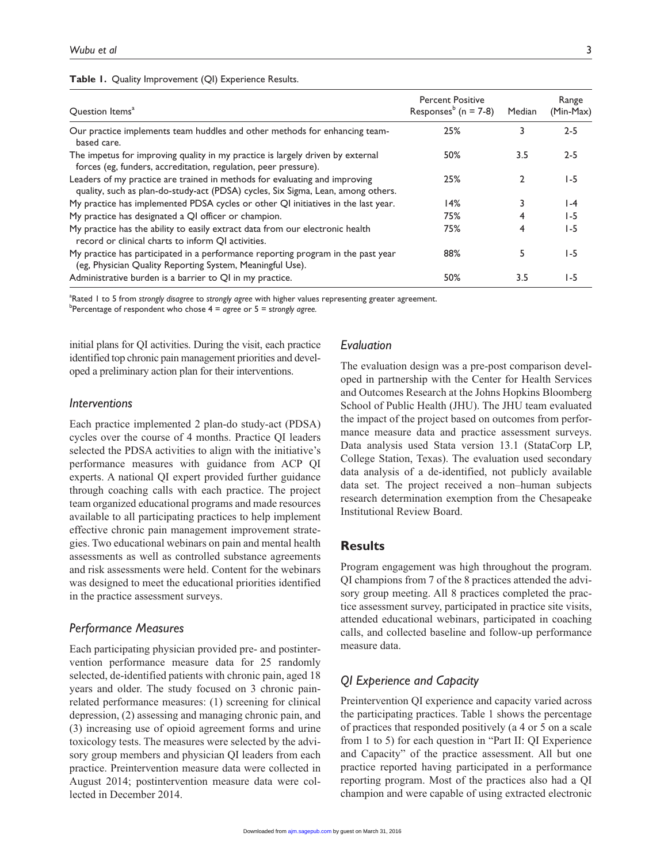|  |  | Table 1. Quality Improvement (QI) Experience Results. |  |  |  |
|--|--|-------------------------------------------------------|--|--|--|
|--|--|-------------------------------------------------------|--|--|--|

| Question Items <sup>a</sup>                                                                                                                                    | <b>Percent Positive</b><br>Responses <sup>b</sup> (n = 7-8) | Median | Range<br>(Min-Max) |
|----------------------------------------------------------------------------------------------------------------------------------------------------------------|-------------------------------------------------------------|--------|--------------------|
| Our practice implements team huddles and other methods for enhancing team-<br>based care.                                                                      | 25%                                                         | 3      | $2 - 5$            |
| The impetus for improving quality in my practice is largely driven by external<br>forces (eg, funders, accreditation, regulation, peer pressure).              | 50%                                                         | 3.5    | $2 - 5$            |
| Leaders of my practice are trained in methods for evaluating and improving<br>quality, such as plan-do-study-act (PDSA) cycles, Six Sigma, Lean, among others. | 25%                                                         | 2      | $1-5$              |
| My practice has implemented PDSA cycles or other QI initiatives in the last year.                                                                              | 14%                                                         |        | $1-4$              |
| My practice has designated a QI officer or champion.                                                                                                           | 75%                                                         | 4      | $1-5$              |
| My practice has the ability to easily extract data from our electronic health<br>record or clinical charts to inform QI activities.                            | 75%                                                         | 4      | $1-5$              |
| My practice has participated in a performance reporting program in the past year<br>(eg, Physician Quality Reporting System, Meaningful Use).                  | 88%                                                         | 5      | $1-5$              |
| Administrative burden is a barrier to QI in my practice.                                                                                                       | 50%                                                         | 3.5    | $1-5$              |

a Rated 1 to 5 from *strongly disagree* to *strongly agree* with higher values representing greater agreement.

b Percentage of respondent who chose 4 = *agree* or 5 = s*trongly agree.*

initial plans for QI activities. During the visit, each practice identified top chronic pain management priorities and developed a preliminary action plan for their interventions.

### *Interventions*

Each practice implemented 2 plan-do study-act (PDSA) cycles over the course of 4 months. Practice QI leaders selected the PDSA activities to align with the initiative's performance measures with guidance from ACP QI experts. A national QI expert provided further guidance through coaching calls with each practice. The project team organized educational programs and made resources available to all participating practices to help implement effective chronic pain management improvement strategies. Two educational webinars on pain and mental health assessments as well as controlled substance agreements and risk assessments were held. Content for the webinars was designed to meet the educational priorities identified in the practice assessment surveys.

# *Performance Measures*

Each participating physician provided pre- and postintervention performance measure data for 25 randomly selected, de-identified patients with chronic pain, aged 18 years and older. The study focused on 3 chronic painrelated performance measures: (1) screening for clinical depression, (2) assessing and managing chronic pain, and (3) increasing use of opioid agreement forms and urine toxicology tests. The measures were selected by the advisory group members and physician QI leaders from each practice. Preintervention measure data were collected in August 2014; postintervention measure data were collected in December 2014.

### *Evaluation*

The evaluation design was a pre-post comparison developed in partnership with the Center for Health Services and Outcomes Research at the Johns Hopkins Bloomberg School of Public Health (JHU). The JHU team evaluated the impact of the project based on outcomes from performance measure data and practice assessment surveys. Data analysis used Stata version 13.1 (StataCorp LP, College Station, Texas). The evaluation used secondary data analysis of a de-identified, not publicly available data set. The project received a non–human subjects research determination exemption from the Chesapeake Institutional Review Board.

### **Results**

Program engagement was high throughout the program. QI champions from 7 of the 8 practices attended the advisory group meeting. All 8 practices completed the practice assessment survey, participated in practice site visits, attended educational webinars, participated in coaching calls, and collected baseline and follow-up performance measure data.

# *QI Experience and Capacity*

Preintervention QI experience and capacity varied across the participating practices. Table 1 shows the percentage of practices that responded positively (a 4 or 5 on a scale from 1 to 5) for each question in "Part II: QI Experience and Capacity" of the practice assessment. All but one practice reported having participated in a performance reporting program. Most of the practices also had a QI champion and were capable of using extracted electronic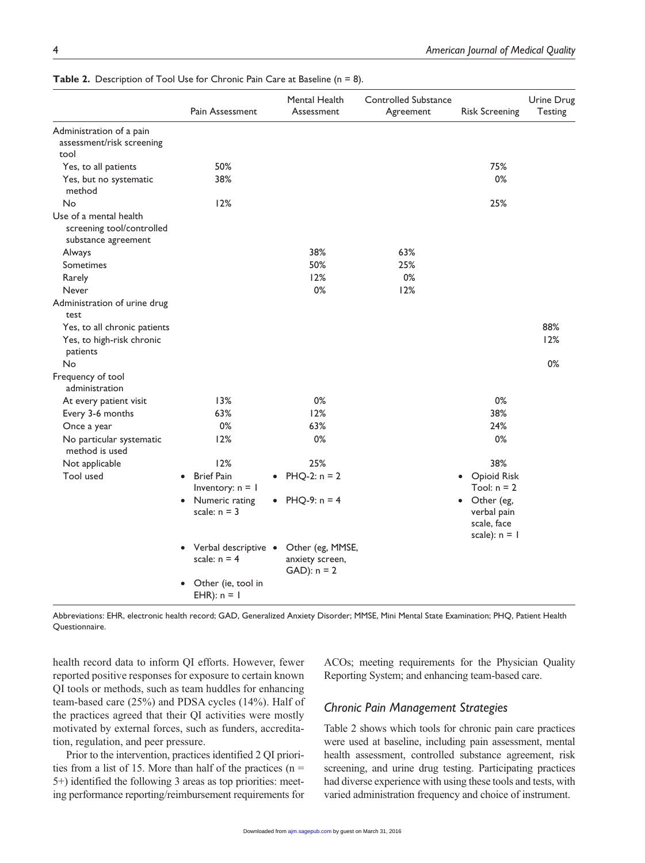|                                                                            | Pain Assessment                                     | Mental Health<br>Assessment                            | <b>Controlled Substance</b><br>Agreement | <b>Risk Screening</b>                                                    | Urine Drug<br>Testing |
|----------------------------------------------------------------------------|-----------------------------------------------------|--------------------------------------------------------|------------------------------------------|--------------------------------------------------------------------------|-----------------------|
| Administration of a pain<br>assessment/risk screening<br>tool              |                                                     |                                                        |                                          |                                                                          |                       |
| Yes, to all patients                                                       | 50%                                                 |                                                        |                                          | 75%                                                                      |                       |
| Yes, but no systematic<br>method                                           | 38%                                                 |                                                        |                                          | 0%                                                                       |                       |
| No                                                                         | 12%                                                 |                                                        |                                          | 25%                                                                      |                       |
| Use of a mental health<br>screening tool/controlled<br>substance agreement |                                                     |                                                        |                                          |                                                                          |                       |
| Always                                                                     |                                                     | 38%                                                    | 63%                                      |                                                                          |                       |
| Sometimes                                                                  |                                                     | 50%                                                    | 25%                                      |                                                                          |                       |
| Rarely                                                                     |                                                     | 12%                                                    | 0%                                       |                                                                          |                       |
| Never                                                                      |                                                     | 0%                                                     | 12%                                      |                                                                          |                       |
| Administration of urine drug<br>test                                       |                                                     |                                                        |                                          |                                                                          |                       |
| Yes, to all chronic patients                                               |                                                     |                                                        |                                          |                                                                          | 88%                   |
| Yes, to high-risk chronic<br>patients                                      |                                                     |                                                        |                                          |                                                                          | 12%                   |
| No                                                                         |                                                     |                                                        |                                          |                                                                          | 0%                    |
| Frequency of tool<br>administration                                        |                                                     |                                                        |                                          |                                                                          |                       |
| At every patient visit                                                     | 13%                                                 | 0%                                                     |                                          | 0%                                                                       |                       |
| Every 3-6 months                                                           | 63%                                                 | 12%                                                    |                                          | 38%                                                                      |                       |
| Once a year                                                                | 0%                                                  | 63%                                                    |                                          | 24%                                                                      |                       |
| No particular systematic<br>method is used                                 | 12%                                                 | 0%                                                     |                                          | 0%                                                                       |                       |
| Not applicable                                                             | 12%                                                 | 25%                                                    |                                          | 38%                                                                      |                       |
| Tool used                                                                  | <b>Brief Pain</b><br>$\bullet$                      | $PHQ-2: n = 2$<br>$\bullet$                            |                                          | Opioid Risk<br>$\bullet$                                                 |                       |
|                                                                            | Inventory: $n = 1$                                  |                                                        |                                          | Tool: $n = 2$                                                            |                       |
|                                                                            | Numeric rating<br>$\bullet$<br>scale: $n = 3$       | • PHQ-9: $n = 4$                                       |                                          | Other (eg,<br>$\bullet$<br>verbal pain<br>scale, face<br>scale): $n = 1$ |                       |
|                                                                            | Verbal descriptive •<br>$\bullet$<br>scale: $n = 4$ | Other (eg, MMSE,<br>anxiety screen,<br>$GAD$ : $n = 2$ |                                          |                                                                          |                       |
|                                                                            | Other (ie, tool in<br>EHR): $n = 1$                 |                                                        |                                          |                                                                          |                       |

|  | <b>Table 2.</b> Description of Tool Use for Chronic Pain Care at Baseline ( $n = 8$ ). |  |  |  |  |  |  |  |
|--|----------------------------------------------------------------------------------------|--|--|--|--|--|--|--|
|--|----------------------------------------------------------------------------------------|--|--|--|--|--|--|--|

Abbreviations: EHR, electronic health record; GAD, Generalized Anxiety Disorder; MMSE, Mini Mental State Examination; PHQ, Patient Health Questionnaire.

health record data to inform QI efforts. However, fewer reported positive responses for exposure to certain known QI tools or methods, such as team huddles for enhancing team-based care (25%) and PDSA cycles (14%). Half of the practices agreed that their QI activities were mostly motivated by external forces, such as funders, accreditation, regulation, and peer pressure.

Prior to the intervention, practices identified 2 QI priorities from a list of 15. More than half of the practices ( $n =$ 5+) identified the following 3 areas as top priorities: meeting performance reporting/reimbursement requirements for ACOs; meeting requirements for the Physician Quality Reporting System; and enhancing team-based care.

## *Chronic Pain Management Strategies*

Table 2 shows which tools for chronic pain care practices were used at baseline, including pain assessment, mental health assessment, controlled substance agreement, risk screening, and urine drug testing. Participating practices had diverse experience with using these tools and tests, with varied administration frequency and choice of instrument.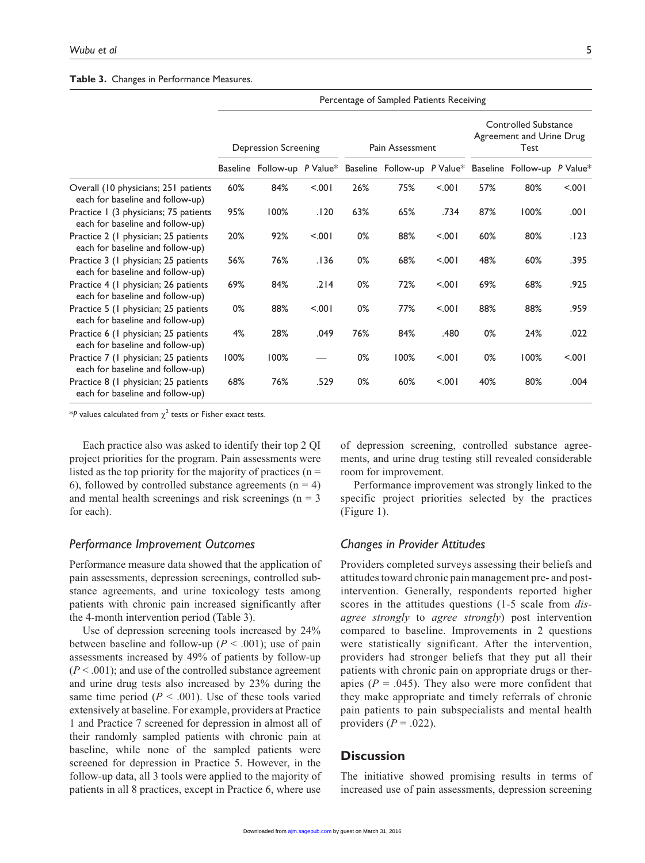#### **Table 3.** Changes in Performance Measures.

|                                                                           | Percentage of Sampled Patients Receiving |                             |         |                 |      |         |                                                          |                                                |          |
|---------------------------------------------------------------------------|------------------------------------------|-----------------------------|---------|-----------------|------|---------|----------------------------------------------------------|------------------------------------------------|----------|
|                                                                           | <b>Depression Screening</b>              |                             |         | Pain Assessment |      |         | Controlled Substance<br>Agreement and Urine Drug<br>Test |                                                |          |
|                                                                           |                                          | Baseline Follow-up P Value* |         |                 |      |         |                                                          | Baseline Follow-up P Value* Baseline Follow-up | P Value* |
| Overall (10 physicians; 251 patients<br>each for baseline and follow-up)  | 60%                                      | 84%                         | 5.001   | 26%             | 75%  | 5.001   | 57%                                                      | 80%                                            | 100.     |
| Practice 1 (3 physicians; 75 patients<br>each for baseline and follow-up) | 95%                                      | 100%                        | .120    | 63%             | 65%  | .734    | 87%                                                      | 100%                                           | .001     |
| Practice 2 (1 physician; 25 patients<br>each for baseline and follow-up)  | 20%                                      | 92%                         | < 0.001 | 0%              | 88%  | < 0.001 | 60%                                                      | 80%                                            | .123     |
| Practice 3 (1 physician; 25 patients<br>each for baseline and follow-up)  | 56%                                      | 76%                         | .136    | 0%              | 68%  | < 0.01  | 48%                                                      | 60%                                            | .395     |
| Practice 4 (1 physician; 26 patients<br>each for baseline and follow-up)  | 69%                                      | 84%                         | .214    | 0%              | 72%  | < 0.01  | 69%                                                      | 68%                                            | .925     |
| Practice 5 (1 physician; 25 patients<br>each for baseline and follow-up)  | 0%                                       | 88%                         | < 0.01  | 0%              | 77%  | < 0.01  | 88%                                                      | 88%                                            | .959     |
| Practice 6 (1 physician; 25 patients<br>each for baseline and follow-up)  | 4%                                       | 28%                         | .049    | 76%             | 84%  | .480    | 0%                                                       | 24%                                            | .022     |
| Practice 7 (1 physician; 25 patients<br>each for baseline and follow-up)  | 100%                                     | 100%                        |         | 0%              | 100% | $500 -$ | 0%                                                       | 100%                                           | $500 -$  |
| Practice 8 (1 physician; 25 patients<br>each for baseline and follow-up)  | 68%                                      | 76%                         | .529    | 0%              | 60%  | < .001  | 40%                                                      | 80%                                            | .004     |

 $*$ *P* values calculated from  $\chi^2$  tests or Fisher exact tests.

Each practice also was asked to identify their top 2 QI project priorities for the program. Pain assessments were listed as the top priority for the majority of practices ( $n =$ 6), followed by controlled substance agreements  $(n = 4)$ and mental health screenings and risk screenings ( $n = 3$ ) for each).

### *Performance Improvement Outcomes*

Performance measure data showed that the application of pain assessments, depression screenings, controlled substance agreements, and urine toxicology tests among patients with chronic pain increased significantly after the 4-month intervention period (Table 3).

Use of depression screening tools increased by 24% between baseline and follow-up ( $P < .001$ ); use of pain assessments increased by 49% of patients by follow-up  $(P < .001)$ ; and use of the controlled substance agreement and urine drug tests also increased by 23% during the same time period  $(P < .001)$ . Use of these tools varied extensively at baseline. For example, providers at Practice 1 and Practice 7 screened for depression in almost all of their randomly sampled patients with chronic pain at baseline, while none of the sampled patients were screened for depression in Practice 5. However, in the follow-up data, all 3 tools were applied to the majority of patients in all 8 practices, except in Practice 6, where use of depression screening, controlled substance agreements, and urine drug testing still revealed considerable room for improvement.

Performance improvement was strongly linked to the specific project priorities selected by the practices (Figure 1).

### *Changes in Provider Attitudes*

Providers completed surveys assessing their beliefs and attitudes toward chronic pain management pre- and postintervention. Generally, respondents reported higher scores in the attitudes questions (1-5 scale from *disagree strongly* to *agree strongly*) post intervention compared to baseline. Improvements in 2 questions were statistically significant. After the intervention, providers had stronger beliefs that they put all their patients with chronic pain on appropriate drugs or therapies ( $P = .045$ ). They also were more confident that they make appropriate and timely referrals of chronic pain patients to pain subspecialists and mental health providers  $(P = .022)$ .

# **Discussion**

The initiative showed promising results in terms of increased use of pain assessments, depression screening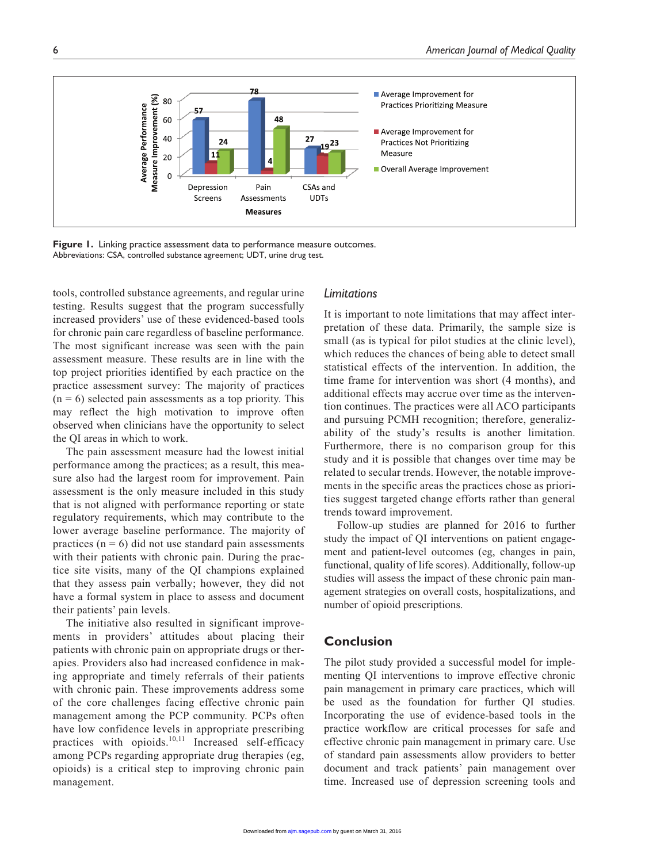

**Figure 1.** Linking practice assessment data to performance measure outcomes. Abbreviations: CSA, controlled substance agreement; UDT, urine drug test.

tools, controlled substance agreements, and regular urine testing. Results suggest that the program successfully increased providers' use of these evidenced-based tools for chronic pain care regardless of baseline performance. The most significant increase was seen with the pain assessment measure. These results are in line with the top project priorities identified by each practice on the practice assessment survey: The majority of practices  $(n = 6)$  selected pain assessments as a top priority. This may reflect the high motivation to improve often observed when clinicians have the opportunity to select the QI areas in which to work.

The pain assessment measure had the lowest initial performance among the practices; as a result, this measure also had the largest room for improvement. Pain assessment is the only measure included in this study that is not aligned with performance reporting or state regulatory requirements, which may contribute to the lower average baseline performance. The majority of practices  $(n = 6)$  did not use standard pain assessments with their patients with chronic pain. During the practice site visits, many of the QI champions explained that they assess pain verbally; however, they did not have a formal system in place to assess and document their patients' pain levels.

The initiative also resulted in significant improvements in providers' attitudes about placing their patients with chronic pain on appropriate drugs or therapies. Providers also had increased confidence in making appropriate and timely referrals of their patients with chronic pain. These improvements address some of the core challenges facing effective chronic pain management among the PCP community. PCPs often have low confidence levels in appropriate prescribing practices with opioids.<sup>10,11</sup> Increased self-efficacy among PCPs regarding appropriate drug therapies (eg, opioids) is a critical step to improving chronic pain management.

### *Limitations*

It is important to note limitations that may affect interpretation of these data. Primarily, the sample size is small (as is typical for pilot studies at the clinic level), which reduces the chances of being able to detect small statistical effects of the intervention. In addition, the time frame for intervention was short (4 months), and additional effects may accrue over time as the intervention continues. The practices were all ACO participants and pursuing PCMH recognition; therefore, generalizability of the study's results is another limitation. Furthermore, there is no comparison group for this study and it is possible that changes over time may be related to secular trends. However, the notable improvements in the specific areas the practices chose as priorities suggest targeted change efforts rather than general trends toward improvement.

Follow-up studies are planned for 2016 to further study the impact of QI interventions on patient engagement and patient-level outcomes (eg, changes in pain, functional, quality of life scores). Additionally, follow-up studies will assess the impact of these chronic pain management strategies on overall costs, hospitalizations, and number of opioid prescriptions.

### **Conclusion**

The pilot study provided a successful model for implementing QI interventions to improve effective chronic pain management in primary care practices, which will be used as the foundation for further QI studies. Incorporating the use of evidence-based tools in the practice workflow are critical processes for safe and effective chronic pain management in primary care. Use of standard pain assessments allow providers to better document and track patients' pain management over time. Increased use of depression screening tools and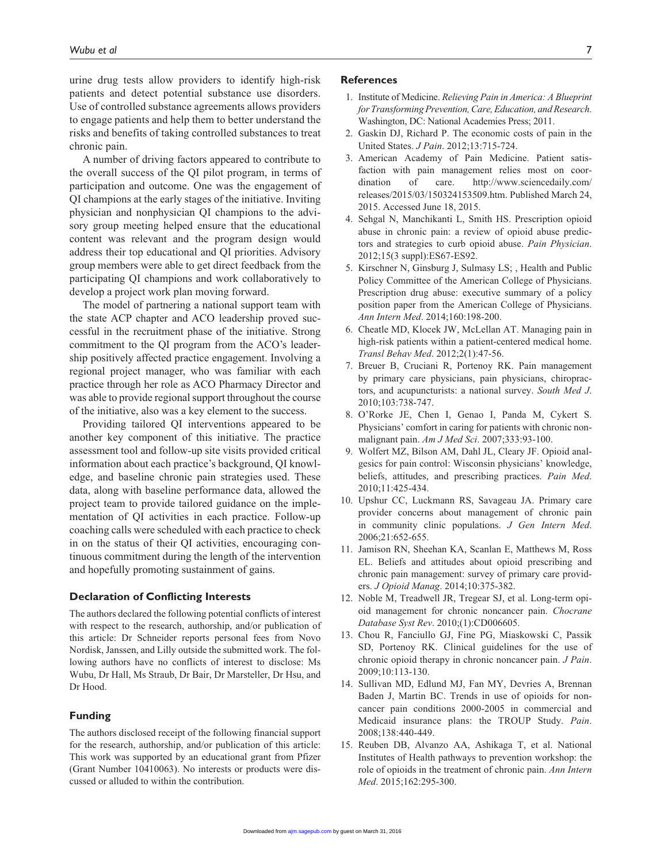urine drug tests allow providers to identify high-risk patients and detect potential substance use disorders. Use of controlled substance agreements allows providers to engage patients and help them to better understand the risks and benefits of taking controlled substances to treat chronic pain.

A number of driving factors appeared to contribute to the overall success of the QI pilot program, in terms of participation and outcome. One was the engagement of QI champions at the early stages of the initiative. Inviting physician and nonphysician QI champions to the advisory group meeting helped ensure that the educational content was relevant and the program design would address their top educational and QI priorities. Advisory group members were able to get direct feedback from the participating QI champions and work collaboratively to develop a project work plan moving forward.

The model of partnering a national support team with the state ACP chapter and ACO leadership proved successful in the recruitment phase of the initiative. Strong commitment to the QI program from the ACO's leadership positively affected practice engagement. Involving a regional project manager, who was familiar with each practice through her role as ACO Pharmacy Director and was able to provide regional support throughout the course of the initiative, also was a key element to the success.

Providing tailored QI interventions appeared to be another key component of this initiative. The practice assessment tool and follow-up site visits provided critical information about each practice's background, QI knowledge, and baseline chronic pain strategies used. These data, along with baseline performance data, allowed the project team to provide tailored guidance on the implementation of QI activities in each practice. Follow-up coaching calls were scheduled with each practice to check in on the status of their QI activities, encouraging continuous commitment during the length of the intervention and hopefully promoting sustainment of gains.

#### **Declaration of Conflicting Interests**

The authors declared the following potential conflicts of interest with respect to the research, authorship, and/or publication of this article: Dr Schneider reports personal fees from Novo Nordisk, Janssen, and Lilly outside the submitted work. The following authors have no conflicts of interest to disclose: Ms Wubu, Dr Hall, Ms Straub, Dr Bair, Dr Marsteller, Dr Hsu, and Dr Hood.

#### **Funding**

The authors disclosed receipt of the following financial support for the research, authorship, and/or publication of this article: This work was supported by an educational grant from Pfizer (Grant Number 10410063). No interests or products were discussed or alluded to within the contribution.

#### **References**

- 1. Institute of Medicine. *Relieving Pain in America: A Blueprint for Transforming Prevention, Care, Education, and Research*. Washington, DC: National Academies Press; 2011.
- 2. Gaskin DJ, Richard P. The economic costs of pain in the United States. *J Pain*. 2012;13:715-724.
- 3. American Academy of Pain Medicine. Patient satisfaction with pain management relies most on coordination of care. [http://www.sciencedaily.com/](http://www.sciencedaily.com/releases/2015/03/150324153509.htm) [releases/2015/03/150324153509.htm](http://www.sciencedaily.com/releases/2015/03/150324153509.htm). Published March 24, 2015. Accessed June 18, 2015.
- 4. Sehgal N, Manchikanti L, Smith HS. Prescription opioid abuse in chronic pain: a review of opioid abuse predictors and strategies to curb opioid abuse. *Pain Physician*. 2012;15(3 suppl):ES67-ES92.
- 5. Kirschner N, Ginsburg J, Sulmasy LS; , Health and Public Policy Committee of the American College of Physicians. Prescription drug abuse: executive summary of a policy position paper from the American College of Physicians. *Ann Intern Med*. 2014;160:198-200.
- 6. Cheatle MD, Klocek JW, McLellan AT. Managing pain in high-risk patients within a patient-centered medical home. *Transl Behav Med*. 2012;2(1):47-56.
- 7. Breuer B, Cruciani R, Portenoy RK. Pain management by primary care physicians, pain physicians, chiropractors, and acupuncturists: a national survey. *South Med J*. 2010;103:738-747.
- 8. O'Rorke JE, Chen I, Genao I, Panda M, Cykert S. Physicians' comfort in caring for patients with chronic nonmalignant pain. *Am J Med Sci*. 2007;333:93-100.
- 9. Wolfert MZ, Bilson AM, Dahl JL, Cleary JF. Opioid analgesics for pain control: Wisconsin physicians' knowledge, beliefs, attitudes, and prescribing practices. *Pain Med*. 2010;11:425-434.
- 10. Upshur CC, Luckmann RS, Savageau JA. Primary care provider concerns about management of chronic pain in community clinic populations. *J Gen Intern Med*. 2006;21:652-655.
- 11. Jamison RN, Sheehan KA, Scanlan E, Matthews M, Ross EL. Beliefs and attitudes about opioid prescribing and chronic pain management: survey of primary care providers. *J Opioid Manag*. 2014;10:375-382.
- 12. Noble M, Treadwell JR, Tregear SJ, et al. Long-term opioid management for chronic noncancer pain. *Chocrane Database Syst Rev*. 2010;(1):CD006605.
- 13. Chou R, Fanciullo GJ, Fine PG, Miaskowski C, Passik SD, Portenoy RK. Clinical guidelines for the use of chronic opioid therapy in chronic noncancer pain. *J Pain*. 2009;10:113-130.
- 14. Sullivan MD, Edlund MJ, Fan MY, Devries A, Brennan Baden J, Martin BC. Trends in use of opioids for noncancer pain conditions 2000-2005 in commercial and Medicaid insurance plans: the TROUP Study. *Pain*. 2008;138:440-449.
- 15. Reuben DB, Alvanzo AA, Ashikaga T, et al. National Institutes of Health pathways to prevention workshop: the role of opioids in the treatment of chronic pain. *Ann Intern Med*. 2015;162:295-300.